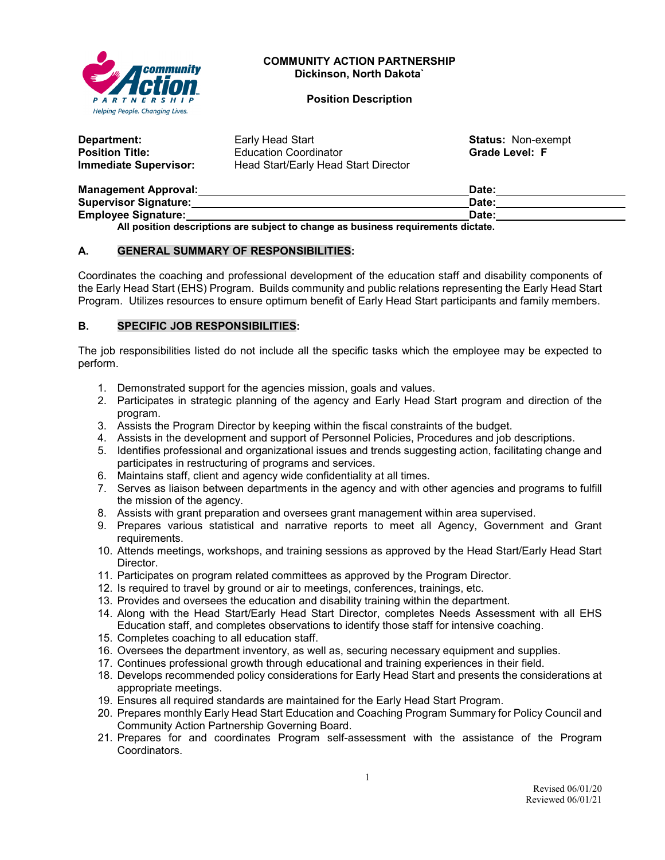

#### **COMMUNITY ACTION PARTNERSHIP Dickinson, North Dakota`**

**Position Description**

| Department:                  | Early Head Start                     | <b>Status: Non-exempt</b> |
|------------------------------|--------------------------------------|---------------------------|
| <b>Position Title:</b>       | <b>Education Coordinator</b>         | <b>Grade Level: F</b>     |
| <b>Immediate Supervisor:</b> | Head Start/Early Head Start Director |                           |
| Management Annroval          |                                      | Date:                     |

| <b>Management Approval:</b>  | Date: |  |
|------------------------------|-------|--|
| <b>Supervisor Signature:</b> | Date: |  |
| <b>Employee Signature:</b>   | Date: |  |
| .                            |       |  |

**All position descriptions are subject to change as business requirements dictate.**

## **A. GENERAL SUMMARY OF RESPONSIBILITIES:**

Coordinates the coaching and professional development of the education staff and disability components of the Early Head Start (EHS) Program. Builds community and public relations representing the Early Head Start Program. Utilizes resources to ensure optimum benefit of Early Head Start participants and family members.

## **B. SPECIFIC JOB RESPONSIBILITIES:**

The job responsibilities listed do not include all the specific tasks which the employee may be expected to perform.

- 1. Demonstrated support for the agencies mission, goals and values.
- 2. Participates in strategic planning of the agency and Early Head Start program and direction of the program.
- 3. Assists the Program Director by keeping within the fiscal constraints of the budget.
- 4. Assists in the development and support of Personnel Policies, Procedures and job descriptions.
- 5. Identifies professional and organizational issues and trends suggesting action, facilitating change and participates in restructuring of programs and services.
- 6. Maintains staff, client and agency wide confidentiality at all times.
- 7. Serves as liaison between departments in the agency and with other agencies and programs to fulfill the mission of the agency.
- 8. Assists with grant preparation and oversees grant management within area supervised.
- 9. Prepares various statistical and narrative reports to meet all Agency, Government and Grant requirements.
- 10. Attends meetings, workshops, and training sessions as approved by the Head Start/Early Head Start Director.
- 11. Participates on program related committees as approved by the Program Director.
- 12. Is required to travel by ground or air to meetings, conferences, trainings, etc.
- 13. Provides and oversees the education and disability training within the department.
- 14. Along with the Head Start/Early Head Start Director, completes Needs Assessment with all EHS Education staff, and completes observations to identify those staff for intensive coaching.
- 15. Completes coaching to all education staff.
- 16. Oversees the department inventory, as well as, securing necessary equipment and supplies.
- 17. Continues professional growth through educational and training experiences in their field.
- 18. Develops recommended policy considerations for Early Head Start and presents the considerations at appropriate meetings.
- 19. Ensures all required standards are maintained for the Early Head Start Program.
- 20. Prepares monthly Early Head Start Education and Coaching Program Summary for Policy Council and Community Action Partnership Governing Board.
- 21. Prepares for and coordinates Program self-assessment with the assistance of the Program Coordinators.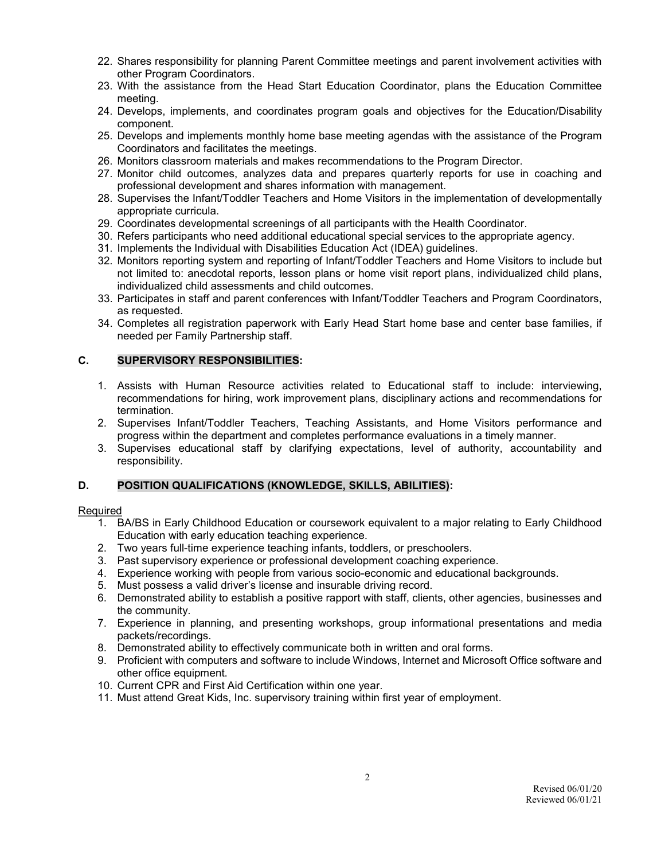- 22. Shares responsibility for planning Parent Committee meetings and parent involvement activities with other Program Coordinators.
- 23. With the assistance from the Head Start Education Coordinator, plans the Education Committee meeting.
- 24. Develops, implements, and coordinates program goals and objectives for the Education/Disability component.
- 25. Develops and implements monthly home base meeting agendas with the assistance of the Program Coordinators and facilitates the meetings.
- 26. Monitors classroom materials and makes recommendations to the Program Director.
- 27. Monitor child outcomes, analyzes data and prepares quarterly reports for use in coaching and professional development and shares information with management.
- 28. Supervises the Infant/Toddler Teachers and Home Visitors in the implementation of developmentally appropriate curricula.
- 29. Coordinates developmental screenings of all participants with the Health Coordinator.
- 30. Refers participants who need additional educational special services to the appropriate agency.
- 31. Implements the Individual with Disabilities Education Act (IDEA) guidelines.
- 32. Monitors reporting system and reporting of Infant/Toddler Teachers and Home Visitors to include but not limited to: anecdotal reports, lesson plans or home visit report plans, individualized child plans, individualized child assessments and child outcomes.
- 33. Participates in staff and parent conferences with Infant/Toddler Teachers and Program Coordinators, as requested.
- 34. Completes all registration paperwork with Early Head Start home base and center base families, if needed per Family Partnership staff.

## **C. SUPERVISORY RESPONSIBILITIES:**

- 1. Assists with Human Resource activities related to Educational staff to include: interviewing, recommendations for hiring, work improvement plans, disciplinary actions and recommendations for termination.
- 2. Supervises Infant/Toddler Teachers, Teaching Assistants, and Home Visitors performance and progress within the department and completes performance evaluations in a timely manner.
- 3. Supervises educational staff by clarifying expectations, level of authority, accountability and responsibility.

#### **D. POSITION QUALIFICATIONS (KNOWLEDGE, SKILLS, ABILITIES):**

#### Required

- 1. BA/BS in Early Childhood Education or coursework equivalent to a major relating to Early Childhood Education with early education teaching experience.
- 2. Two years full-time experience teaching infants, toddlers, or preschoolers.
- 3. Past supervisory experience or professional development coaching experience.
- 4. Experience working with people from various socio-economic and educational backgrounds.
- 5. Must possess a valid driver's license and insurable driving record.
- 6. Demonstrated ability to establish a positive rapport with staff, clients, other agencies, businesses and the community.
- 7. Experience in planning, and presenting workshops, group informational presentations and media packets/recordings.
- 8. Demonstrated ability to effectively communicate both in written and oral forms.
- 9. Proficient with computers and software to include Windows, Internet and Microsoft Office software and other office equipment.
- 10. Current CPR and First Aid Certification within one year.
- 11. Must attend Great Kids, Inc. supervisory training within first year of employment.